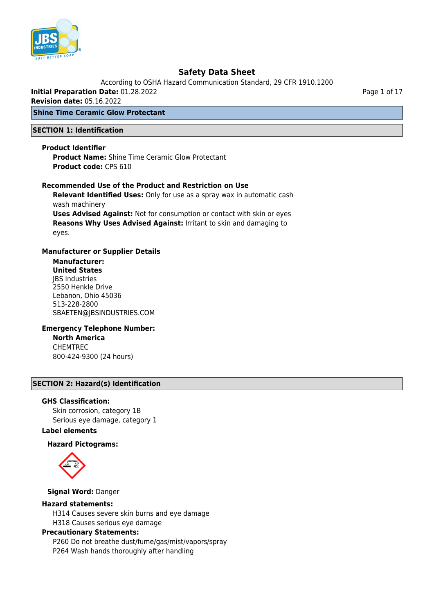

According to OSHA Hazard Communication Standard, 29 CFR 1910.1200

**Initial Preparation Date:** 01.28.2022

**Revision date:** 05.16.2022

## **Shine Time Ceramic Glow Protectant**

#### **SECTION 1: Identification**

#### **Product Identifier**

**Product Name:** Shine Time Ceramic Glow Protectant **Product code:** CPS 610

#### **Recommended Use of the Product and Restriction on Use**

**Relevant Identified Uses:** Only for use as a spray wax in automatic cash wash machinery

**Uses Advised Against:** Not for consumption or contact with skin or eyes **Reasons Why Uses Advised Against:** Irritant to skin and damaging to eyes.

#### **Manufacturer or Supplier Details**

**Manufacturer: United States** JBS Industries 2550 Henkle Drive Lebanon, Ohio 45036 513-228-2800 SBAETEN@JBSINDUSTRIES.COM

#### **Emergency Telephone Number: North America** CHEMTREC 800-424-9300 (24 hours)

## **SECTION 2: Hazard(s) Identification**

#### **GHS Classification:**

Skin corrosion, category 1B Serious eye damage, category 1

#### **Label elements**

#### **Hazard Pictograms:**



**Signal Word:** Danger

#### **Hazard statements:**

H314 Causes severe skin burns and eye damage H318 Causes serious eye damage

#### **Precautionary Statements:**

P260 Do not breathe dust/fume/gas/mist/vapors/spray P264 Wash hands thoroughly after handling

Page 1 of 17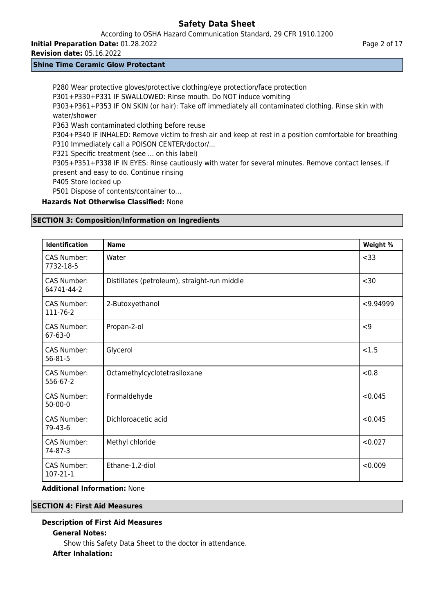According to OSHA Hazard Communication Standard, 29 CFR 1910.1200

**Initial Preparation Date:** 01.28.2022

**Revision date:** 05.16.2022

## **Shine Time Ceramic Glow Protectant**

P280 Wear protective gloves/protective clothing/eye protection/face protection P301+P330+P331 IF SWALLOWED: Rinse mouth. Do NOT induce vomiting P303+P361+P353 IF ON SKIN (or hair): Take off immediately all contaminated clothing. Rinse skin with water/shower P363 Wash contaminated clothing before reuse P304+P340 IF INHALED: Remove victim to fresh air and keep at rest in a position comfortable for breathing P310 Immediately call a POISON CENTER/doctor/... P321 Specific treatment (see ... on this label) P305+P351+P338 IF IN EYES: Rinse cautiously with water for several minutes. Remove contact lenses, if present and easy to do. Continue rinsing P405 Store locked up P501 Dispose of contents/container to… **Hazards Not Otherwise Classified:** None

## **SECTION 3: Composition/Information on Ingredients**

| <b>Identification</b>               | <b>Name</b>                                  | Weight %  |
|-------------------------------------|----------------------------------------------|-----------|
| <b>CAS Number:</b><br>7732-18-5     | Water                                        | < 33      |
| CAS Number:<br>64741-44-2           | Distillates (petroleum), straight-run middle | $30$      |
| CAS Number:<br>111-76-2             | 2-Butoxyethanol                              | < 9.94999 |
| CAS Number:<br>$67 - 63 - 0$        | Propan-2-ol                                  | < 9       |
| <b>CAS Number:</b><br>$56 - 81 - 5$ | Glycerol                                     | < 1.5     |
| <b>CAS Number:</b><br>556-67-2      | Octamethylcyclotetrasiloxane                 | &0.8      |
| <b>CAS Number:</b><br>$50 - 00 - 0$ | Formaldehyde                                 |           |
| <b>CAS Number:</b><br>79-43-6       | Dichloroacetic acid                          |           |
| CAS Number:<br>74-87-3              | Methyl chloride                              | < 0.027   |
| CAS Number:<br>107-21-1             | Ethane-1,2-diol                              | < 0.009   |

## **Additional Information:** None

## **SECTION 4: First Aid Measures**

# **Description of First Aid Measures**

## **General Notes:**

Show this Safety Data Sheet to the doctor in attendance.

## **After Inhalation:**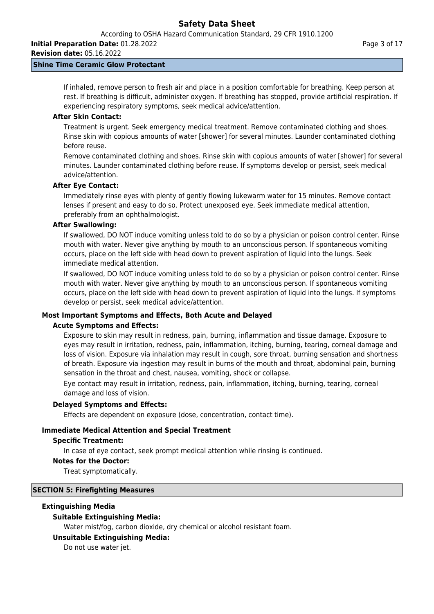**Revision date:** 05.16.2022

## **Shine Time Ceramic Glow Protectant**

If inhaled, remove person to fresh air and place in a position comfortable for breathing. Keep person at rest. If breathing is difficult, administer oxygen. If breathing has stopped, provide artificial respiration. If experiencing respiratory symptoms, seek medical advice/attention.

#### **After Skin Contact:**

Treatment is urgent. Seek emergency medical treatment. Remove contaminated clothing and shoes. Rinse skin with copious amounts of water [shower] for several minutes. Launder contaminated clothing before reuse.

Remove contaminated clothing and shoes. Rinse skin with copious amounts of water [shower] for several minutes. Launder contaminated clothing before reuse. If symptoms develop or persist, seek medical advice/attention.

#### **After Eye Contact:**

Immediately rinse eyes with plenty of gently flowing lukewarm water for 15 minutes. Remove contact lenses if present and easy to do so. Protect unexposed eye. Seek immediate medical attention, preferably from an ophthalmologist.

#### **After Swallowing:**

If swallowed, DO NOT induce vomiting unless told to do so by a physician or poison control center. Rinse mouth with water. Never give anything by mouth to an unconscious person. If spontaneous vomiting occurs, place on the left side with head down to prevent aspiration of liquid into the lungs. Seek immediate medical attention.

If swallowed, DO NOT induce vomiting unless told to do so by a physician or poison control center. Rinse mouth with water. Never give anything by mouth to an unconscious person. If spontaneous vomiting occurs, place on the left side with head down to prevent aspiration of liquid into the lungs. If symptoms develop or persist, seek medical advice/attention.

## **Most Important Symptoms and Effects, Both Acute and Delayed**

#### **Acute Symptoms and Effects:**

Exposure to skin may result in redness, pain, burning, inflammation and tissue damage. Exposure to eyes may result in irritation, redness, pain, inflammation, itching, burning, tearing, corneal damage and loss of vision. Exposure via inhalation may result in cough, sore throat, burning sensation and shortness of breath. Exposure via ingestion may result in burns of the mouth and throat, abdominal pain, burning sensation in the throat and chest, nausea, vomiting, shock or collapse.

Eye contact may result in irritation, redness, pain, inflammation, itching, burning, tearing, corneal damage and loss of vision.

#### **Delayed Symptoms and Effects:**

Effects are dependent on exposure (dose, concentration, contact time).

#### **Immediate Medical Attention and Special Treatment**

#### **Specific Treatment:**

In case of eye contact, seek prompt medical attention while rinsing is continued.

#### **Notes for the Doctor:**

Treat symptomatically.

#### **SECTION 5: Firefighting Measures**

#### **Extinguishing Media**

#### **Suitable Extinguishing Media:**

Water mist/fog, carbon dioxide, dry chemical or alcohol resistant foam.

#### **Unsuitable Extinguishing Media:**

Do not use water jet.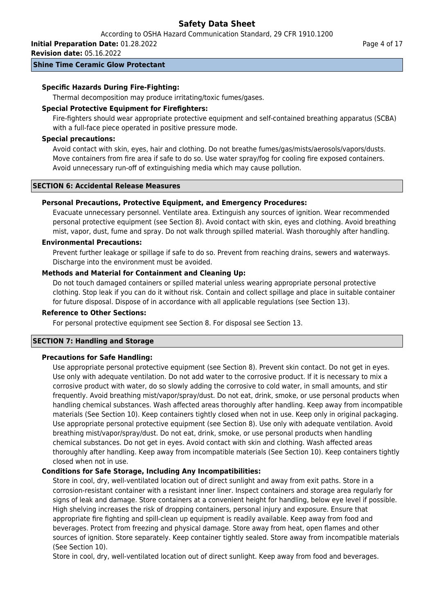According to OSHA Hazard Communication Standard, 29 CFR 1910.1200

**Initial Preparation Date:** 01.28.2022

**Revision date:** 05.16.2022

## **Shine Time Ceramic Glow Protectant**

## **Specific Hazards During Fire-Fighting:**

Thermal decomposition may produce irritating/toxic fumes/gases.

## **Special Protective Equipment for Firefighters:**

Fire-fighters should wear appropriate protective equipment and self-contained breathing apparatus (SCBA) with a full-face piece operated in positive pressure mode.

## **Special precautions:**

Avoid contact with skin, eyes, hair and clothing. Do not breathe fumes/gas/mists/aerosols/vapors/dusts. Move containers from fire area if safe to do so. Use water spray/fog for cooling fire exposed containers. Avoid unnecessary run-off of extinguishing media which may cause pollution.

#### **SECTION 6: Accidental Release Measures**

## **Personal Precautions, Protective Equipment, and Emergency Procedures:**

Evacuate unnecessary personnel. Ventilate area. Extinguish any sources of ignition. Wear recommended personal protective equipment (see Section 8). Avoid contact with skin, eyes and clothing. Avoid breathing mist, vapor, dust, fume and spray. Do not walk through spilled material. Wash thoroughly after handling.

#### **Environmental Precautions:**

Prevent further leakage or spillage if safe to do so. Prevent from reaching drains, sewers and waterways. Discharge into the environment must be avoided.

## **Methods and Material for Containment and Cleaning Up:**

Do not touch damaged containers or spilled material unless wearing appropriate personal protective clothing. Stop leak if you can do it without risk. Contain and collect spillage and place in suitable container for future disposal. Dispose of in accordance with all applicable regulations (see Section 13).

#### **Reference to Other Sections:**

For personal protective equipment see Section 8. For disposal see Section 13.

## **SECTION 7: Handling and Storage**

## **Precautions for Safe Handling:**

Use appropriate personal protective equipment (see Section 8). Prevent skin contact. Do not get in eyes. Use only with adequate ventilation. Do not add water to the corrosive product. If it is necessary to mix a corrosive product with water, do so slowly adding the corrosive to cold water, in small amounts, and stir frequently. Avoid breathing mist/vapor/spray/dust. Do not eat, drink, smoke, or use personal products when handling chemical substances. Wash affected areas thoroughly after handling. Keep away from incompatible materials (See Section 10). Keep containers tightly closed when not in use. Keep only in original packaging. Use appropriate personal protective equipment (see Section 8). Use only with adequate ventilation. Avoid breathing mist/vapor/spray/dust. Do not eat, drink, smoke, or use personal products when handling chemical substances. Do not get in eyes. Avoid contact with skin and clothing. Wash affected areas thoroughly after handling. Keep away from incompatible materials (See Section 10). Keep containers tightly closed when not in use.

## **Conditions for Safe Storage, Including Any Incompatibilities:**

Store in cool, dry, well-ventilated location out of direct sunlight and away from exit paths. Store in a corrosion-resistant container with a resistant inner liner. Inspect containers and storage area regularly for signs of leak and damage. Store containers at a convenient height for handling, below eye level if possible. High shelving increases the risk of dropping containers, personal injury and exposure. Ensure that appropriate fire fighting and spill-clean up equipment is readily available. Keep away from food and beverages. Protect from freezing and physical damage. Store away from heat, open flames and other sources of ignition. Store separately. Keep container tightly sealed. Store away from incompatible materials (See Section 10).

Store in cool, dry, well-ventilated location out of direct sunlight. Keep away from food and beverages.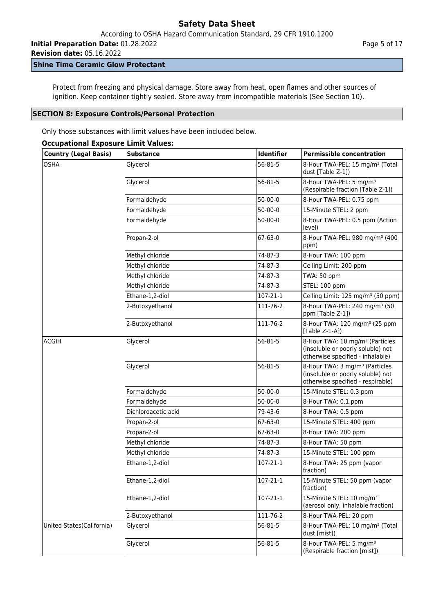**Initial Preparation Date:** 01.28.2022

**Revision date:** 05.16.2022

# **Shine Time Ceramic Glow Protectant**

Protect from freezing and physical damage. Store away from heat, open flames and other sources of ignition. Keep container tightly sealed. Store away from incompatible materials (See Section 10).

#### **SECTION 8: Exposure Controls/Personal Protection**

Only those substances with limit values have been included below.

#### **Occupational Exposure Limit Values:**

| <b>Country (Legal Basis)</b> | <b>Substance</b>    | <b>Identifier</b> | <b>Permissible concentration</b>                                                                                     |
|------------------------------|---------------------|-------------------|----------------------------------------------------------------------------------------------------------------------|
| <b>OSHA</b>                  | Glycerol            | 56-81-5           | 8-Hour TWA-PEL: 15 mg/m <sup>3</sup> (Total<br>dust [Table Z-1])                                                     |
|                              | Glycerol            | 56-81-5           | 8-Hour TWA-PEL: 5 mg/m <sup>3</sup><br>(Respirable fraction [Table Z-1])                                             |
|                              | Formaldehyde        | $50 - 00 - 0$     | 8-Hour TWA-PEL: 0.75 ppm                                                                                             |
|                              | Formaldehyde        | $50 - 00 - 0$     | 15-Minute STEL: 2 ppm                                                                                                |
|                              | Formaldehyde        | $50-00-0$         | 8-Hour TWA-PEL: 0.5 ppm (Action<br>level)                                                                            |
|                              | Propan-2-ol         | 67-63-0           | 8-Hour TWA-PEL: 980 mg/m <sup>3</sup> (400<br>ppm)                                                                   |
|                              | Methyl chloride     | 74-87-3           | 8-Hour TWA: 100 ppm                                                                                                  |
|                              | Methyl chloride     | 74-87-3           | Ceiling Limit: 200 ppm                                                                                               |
|                              | Methyl chloride     | 74-87-3           | TWA: 50 ppm                                                                                                          |
|                              | Methyl chloride     | 74-87-3           | STEL: 100 ppm                                                                                                        |
|                              | Ethane-1,2-diol     | $107 - 21 - 1$    | Ceiling Limit: 125 mg/m <sup>3</sup> (50 ppm)                                                                        |
|                              | 2-Butoxyethanol     | 111-76-2          | 8-Hour TWA-PEL: 240 mg/m <sup>3</sup> (50<br>ppm [Table Z-1])                                                        |
|                              | 2-Butoxyethanol     | 111-76-2          | 8-Hour TWA: 120 mg/m <sup>3</sup> (25 ppm<br>[Table $Z-1-A$ ])                                                       |
| <b>ACGIH</b>                 | Glycerol            | 56-81-5           | 8-Hour TWA: 10 mg/m <sup>3</sup> (Particles<br>(insoluble or poorly soluble) not<br>otherwise specified - inhalable) |
|                              | Glycerol            | 56-81-5           | 8-Hour TWA: 3 mg/m <sup>3</sup> (Particles<br>(insoluble or poorly soluble) not<br>otherwise specified - respirable) |
|                              | Formaldehyde        | $50-00-0$         | 15-Minute STEL: 0.3 ppm                                                                                              |
|                              | Formaldehyde        | $50-00-0$         | 8-Hour TWA: 0.1 ppm                                                                                                  |
|                              | Dichloroacetic acid | 79-43-6           | 8-Hour TWA: 0.5 ppm                                                                                                  |
|                              | Propan-2-ol         | 67-63-0           | 15-Minute STEL: 400 ppm                                                                                              |
|                              | Propan-2-ol         | 67-63-0           | 8-Hour TWA: 200 ppm                                                                                                  |
|                              | Methyl chloride     | 74-87-3           | 8-Hour TWA: 50 ppm                                                                                                   |
|                              | Methyl chloride     | 74-87-3           | 15-Minute STEL: 100 ppm                                                                                              |
|                              | Ethane-1,2-diol     | 107-21-1          | 8-Hour TWA: 25 ppm (vapor<br>fraction)                                                                               |
|                              | Ethane-1,2-diol     | 107-21-1          | 15-Minute STEL: 50 ppm (vapor<br>fraction)                                                                           |
|                              | Ethane-1,2-diol     | 107-21-1          | 15-Minute STEL: 10 mg/m <sup>3</sup><br>(aerosol only, inhalable fraction)                                           |
|                              | 2-Butoxyethanol     | 111-76-2          | 8-Hour TWA-PEL: 20 ppm                                                                                               |
| United States(California)    | Glycerol            | $56 - 81 - 5$     | 8-Hour TWA-PEL: 10 mg/m <sup>3</sup> (Total<br>dust [mist])                                                          |
|                              | Glycerol            | 56-81-5           | 8-Hour TWA-PEL: 5 mg/m <sup>3</sup><br>(Respirable fraction [mist])                                                  |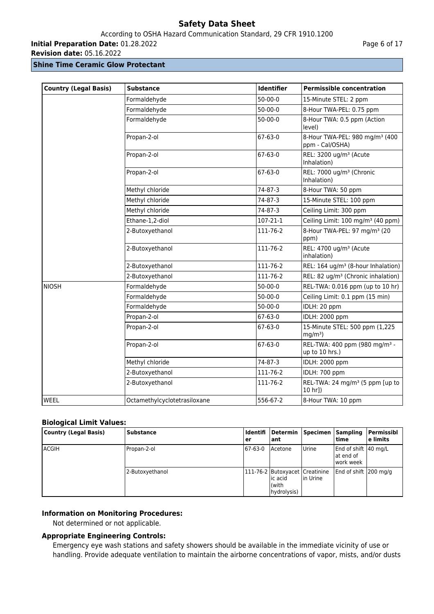According to OSHA Hazard Communication Standard, 29 CFR 1910.1200

**Initial Preparation Date:** 01.28.2022

**Revision date:** 05.16.2022

#### **Shine Time Ceramic Glow Protectant**

| <b>Country (Legal Basis)</b> | <b>Substance</b>             | <b>Identifier</b> | <b>Permissible concentration</b>                              |
|------------------------------|------------------------------|-------------------|---------------------------------------------------------------|
|                              | Formaldehyde                 | $50 - 00 - 0$     | 15-Minute STEL: 2 ppm                                         |
|                              | Formaldehyde                 | $50-00-0$         | 8-Hour TWA-PEL: 0.75 ppm                                      |
|                              | Formaldehyde                 | $50 - 00 - 0$     | 8-Hour TWA: 0.5 ppm (Action<br>level)                         |
|                              | Propan-2-ol                  | 67-63-0           | 8-Hour TWA-PEL: 980 mg/m <sup>3</sup> (400<br>ppm - Cal/OSHA) |
|                              | Propan-2-ol                  | 67-63-0           | REL: 3200 ug/m <sup>3</sup> (Acute<br>Inhalation)             |
|                              | Propan-2-ol                  | $67 - 63 - 0$     | REL: 7000 ug/m <sup>3</sup> (Chronic<br>Inhalation)           |
|                              | Methyl chloride              | 74-87-3           | 8-Hour TWA: 50 ppm                                            |
|                              | Methyl chloride              | 74-87-3           | 15-Minute STEL: 100 ppm                                       |
|                              | Methyl chloride              | 74-87-3           | Ceiling Limit: 300 ppm                                        |
|                              | Ethane-1,2-diol              | 107-21-1          | Ceiling Limit: 100 mg/m <sup>3</sup> (40 ppm)                 |
|                              | 2-Butoxyethanol              | 111-76-2          | 8-Hour TWA-PEL: 97 mg/m <sup>3</sup> (20<br>ppm)              |
|                              | 2-Butoxyethanol              | 111-76-2          | REL: 4700 ug/m <sup>3</sup> (Acute<br>inhalation)             |
|                              | 2-Butoxyethanol              | 111-76-2          | REL: 164 ug/m <sup>3</sup> (8-hour Inhalation)                |
|                              | 2-Butoxyethanol              | 111-76-2          | REL: 82 ug/m <sup>3</sup> (Chronic inhalation)                |
| <b>NIOSH</b>                 | Formaldehyde                 | $50 - 00 - 0$     | REL-TWA: 0.016 ppm (up to 10 hr)                              |
|                              | Formaldehyde                 | $50 - 00 - 0$     | Ceiling Limit: 0.1 ppm (15 min)                               |
|                              | Formaldehyde                 | $50 - 00 - 0$     | IDLH: 20 ppm                                                  |
|                              | Propan-2-ol                  | $67 - 63 - 0$     | IDLH: 2000 ppm                                                |
|                              | Propan-2-ol                  | $67 - 63 - 0$     | 15-Minute STEL: 500 ppm (1,225<br>$mg/m3$ )                   |
|                              | Propan-2-ol                  | 67-63-0           | REL-TWA: 400 ppm (980 mg/m <sup>3</sup> -<br>up to 10 hrs.)   |
|                              | Methyl chloride              | 74-87-3           | IDLH: 2000 ppm                                                |
|                              | 2-Butoxyethanol              | 111-76-2          | IDLH: 700 ppm                                                 |
|                              | 2-Butoxyethanol              | 111-76-2          | REL-TWA: 24 mg/m <sup>3</sup> (5 ppm [up to<br>$10$ hr])      |
| WEEL                         | Octamethylcyclotetrasiloxane | 556-67-2          | 8-Hour TWA: 10 ppm                                            |

## **Biological Limit Values:**

| <b>Country (Legal Basis)</b> | <b>Substance</b> | ldentifi<br>er | Determin<br>l ant                                                  | Specimen     | Sampling<br>time                               | Permissibl<br>l e limits |
|------------------------------|------------------|----------------|--------------------------------------------------------------------|--------------|------------------------------------------------|--------------------------|
| lACGIH                       | Propan-2-ol      | 67-63-0        | Acetone                                                            | <b>Urine</b> | End of shift 40 mg/L<br>at end of<br>work week |                          |
|                              | 2-Butoxyethanol  |                | 111-76-2 Butoxyacet Creatinine<br>lic acid<br>(with<br>hydrolysis) | lin Urine    | End of shift 200 mg/g                          |                          |

## **Information on Monitoring Procedures:**

Not determined or not applicable.

#### **Appropriate Engineering Controls:**

Emergency eye wash stations and safety showers should be available in the immediate vicinity of use or handling. Provide adequate ventilation to maintain the airborne concentrations of vapor, mists, and/or dusts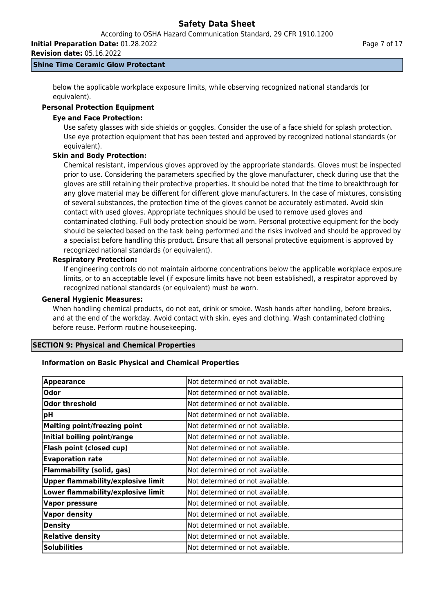**Revision date:** 05.16.2022

#### **Shine Time Ceramic Glow Protectant**

below the applicable workplace exposure limits, while observing recognized national standards (or equivalent).

# **Personal Protection Equipment**

## **Eye and Face Protection:**

Use safety glasses with side shields or goggles. Consider the use of a face shield for splash protection. Use eye protection equipment that has been tested and approved by recognized national standards (or equivalent).

## **Skin and Body Protection:**

Chemical resistant, impervious gloves approved by the appropriate standards. Gloves must be inspected prior to use. Considering the parameters specified by the glove manufacturer, check during use that the gloves are still retaining their protective properties. It should be noted that the time to breakthrough for any glove material may be different for different glove manufacturers. In the case of mixtures, consisting of several substances, the protection time of the gloves cannot be accurately estimated. Avoid skin contact with used gloves. Appropriate techniques should be used to remove used gloves and contaminated clothing. Full body protection should be worn. Personal protective equipment for the body should be selected based on the task being performed and the risks involved and should be approved by a specialist before handling this product. Ensure that all personal protective equipment is approved by recognized national standards (or equivalent).

## **Respiratory Protection:**

If engineering controls do not maintain airborne concentrations below the applicable workplace exposure limits, or to an acceptable level (if exposure limits have not been established), a respirator approved by recognized national standards (or equivalent) must be worn.

## **General Hygienic Measures:**

When handling chemical products, do not eat, drink or smoke. Wash hands after handling, before breaks, and at the end of the workday. Avoid contact with skin, eyes and clothing. Wash contaminated clothing before reuse. Perform routine housekeeping.

## **SECTION 9: Physical and Chemical Properties**

## **Information on Basic Physical and Chemical Properties**

| <b>Appearance</b>                         | Not determined or not available.  |
|-------------------------------------------|-----------------------------------|
| Odor                                      | INot determined or not available. |
| <b>Odor threshold</b>                     | Not determined or not available.  |
| pH                                        | Not determined or not available.  |
| <b>Melting point/freezing point</b>       | Not determined or not available.  |
| Initial boiling point/range               | Not determined or not available.  |
| Flash point (closed cup)                  | Not determined or not available.  |
| <b>Evaporation rate</b>                   | Not determined or not available.  |
| <b>Flammability (solid, gas)</b>          | Not determined or not available.  |
| <b>Upper flammability/explosive limit</b> | Not determined or not available.  |
| Lower flammability/explosive limit        | Not determined or not available.  |
| <b>Vapor pressure</b>                     | Not determined or not available.  |
| <b>Vapor density</b>                      | Not determined or not available.  |
| <b>Density</b>                            | Not determined or not available.  |
| <b>Relative density</b>                   | Not determined or not available.  |
| <b>Solubilities</b>                       | Not determined or not available.  |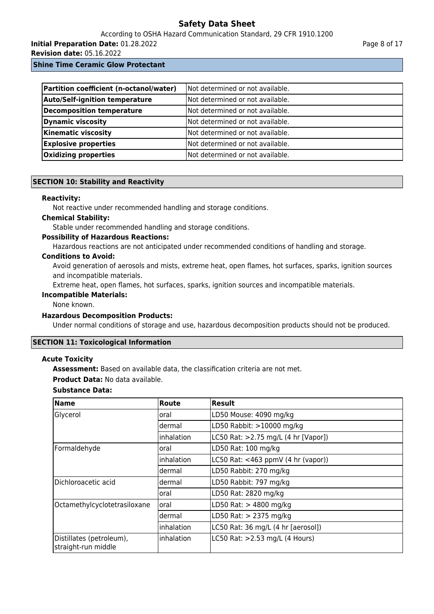According to OSHA Hazard Communication Standard, 29 CFR 1910.1200

**Initial Preparation Date:** 01.28.2022

**Revision date:** 05.16.2022

Page 8 of 17

**Shine Time Ceramic Glow Protectant**

| Partition coefficient (n-octanol/water) | Not determined or not available.  |
|-----------------------------------------|-----------------------------------|
| <b>Auto/Self-ignition temperature</b>   | Not determined or not available.  |
| Decomposition temperature               | Not determined or not available.  |
| <b>Dynamic viscosity</b>                | Not determined or not available.  |
| <b>Kinematic viscosity</b>              | Not determined or not available.  |
| <b>Explosive properties</b>             | Not determined or not available.  |
| Oxidizing properties                    | INot determined or not available. |

## **SECTION 10: Stability and Reactivity**

#### **Reactivity:**

Not reactive under recommended handling and storage conditions.

#### **Chemical Stability:**

Stable under recommended handling and storage conditions.

#### **Possibility of Hazardous Reactions:**

Hazardous reactions are not anticipated under recommended conditions of handling and storage.

#### **Conditions to Avoid:**

Avoid generation of aerosols and mists, extreme heat, open flames, hot surfaces, sparks, ignition sources and incompatible materials.

Extreme heat, open flames, hot surfaces, sparks, ignition sources and incompatible materials.

## **Incompatible Materials:**

None known.

## **Hazardous Decomposition Products:**

Under normal conditions of storage and use, hazardous decomposition products should not be produced.

## **SECTION 11: Toxicological Information**

## **Acute Toxicity**

**Assessment:** Based on available data, the classification criteria are not met.

**Product Data:** No data available.

# **Substance Data:**

| <b>Name</b>                                     | Route      | <b>Result</b>                         |
|-------------------------------------------------|------------|---------------------------------------|
| Glycerol                                        | oral       | LD50 Mouse: 4090 mg/kg                |
|                                                 | dermal     | LD50 Rabbit: >10000 mg/kg             |
|                                                 | inhalation | LC50 Rat: >2.75 mg/L (4 hr [Vapor])   |
| Formaldehyde                                    | oral       | LD50 Rat: 100 mg/kg                   |
|                                                 | inhalation | LC50 Rat: $<$ 463 ppmV (4 hr (vapor)) |
|                                                 | dermal     | LD50 Rabbit: 270 mg/kg                |
| Dichloroacetic acid                             | dermal     | LD50 Rabbit: 797 mg/kg                |
|                                                 | oral       | LD50 Rat: 2820 mg/kg                  |
| Octamethylcyclotetrasiloxane                    | oral       | LD50 Rat: > 4800 mg/kg                |
|                                                 | dermal     | LD50 Rat: > 2375 mg/kg                |
|                                                 | inhalation | LC50 Rat: 36 mg/L (4 hr [aerosol])    |
| Distillates (petroleum),<br>straight-run middle | inhalation | LC50 Rat: >2.53 mg/L (4 Hours)        |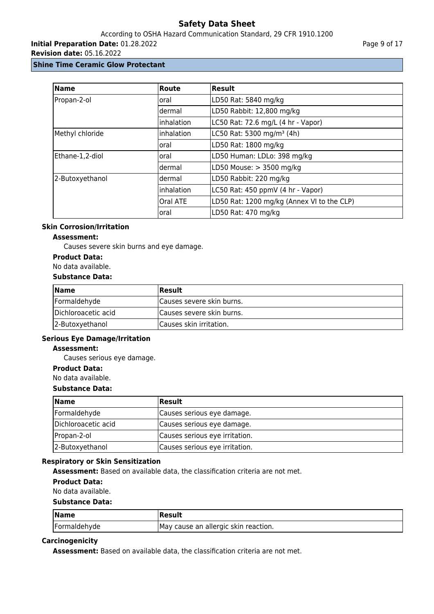According to OSHA Hazard Communication Standard, 29 CFR 1910.1200

**Initial Preparation Date:** 01.28.2022

**Revision date:** 05.16.2022

## **Shine Time Ceramic Glow Protectant**

| <b>Name</b>     | Route      | <b>Result</b>                              |
|-----------------|------------|--------------------------------------------|
| Propan-2-ol     | oral       | LD50 Rat: 5840 mg/kg                       |
|                 | dermal     | LD50 Rabbit: 12,800 mg/kg                  |
|                 | inhalation | LC50 Rat: 72.6 mg/L (4 hr - Vapor)         |
| Methyl chloride | inhalation | LC50 Rat: 5300 mg/m <sup>3</sup> (4h)      |
|                 | oral       | LD50 Rat: 1800 mg/kg                       |
| Ethane-1,2-diol | oral       | LD50 Human: LDLo: 398 mg/kg                |
|                 | dermal     | LD50 Mouse: > 3500 mg/kg                   |
| 2-Butoxyethanol | dermal     | LD50 Rabbit: 220 mg/kg                     |
|                 | inhalation | LC50 Rat: 450 ppmV (4 hr - Vapor)          |
|                 | Oral ATE   | LD50 Rat: 1200 mg/kg (Annex VI to the CLP) |
|                 | oral       | LD50 Rat: 470 mg/kg                        |

## **Skin Corrosion/Irritation**

## **Assessment:**

Causes severe skin burns and eye damage.

#### **Product Data:**

#### No data available.

#### **Substance Data:**

| <b>Name</b>         | Result                     |
|---------------------|----------------------------|
| Formaldehyde        | Causes severe skin burns.  |
| Dichloroacetic acid | ICauses severe skin burns. |
| 2-Butoxyethanol     | ICauses skin irritation.   |

## **Serious Eye Damage/Irritation**

## **Assessment:**

Causes serious eye damage.

**Product Data:**

No data available.

#### **Substance Data:**

| <b>Name</b>         | Result                         |
|---------------------|--------------------------------|
| Formaldehyde        | Causes serious eye damage.     |
| Dichloroacetic acid | Causes serious eye damage.     |
| Propan-2-ol         | Causes serious eye irritation. |
| 2-Butoxyethanol     | Causes serious eye irritation. |

## **Respiratory or Skin Sensitization**

**Assessment:** Based on available data, the classification criteria are not met.

# **Product Data:**

No data available.

#### **Substance Data:**

| Name         | Result                               |
|--------------|--------------------------------------|
| Formaldehyde | May cause an allergic skin reaction. |

## **Carcinogenicity**

**Assessment:** Based on available data, the classification criteria are not met.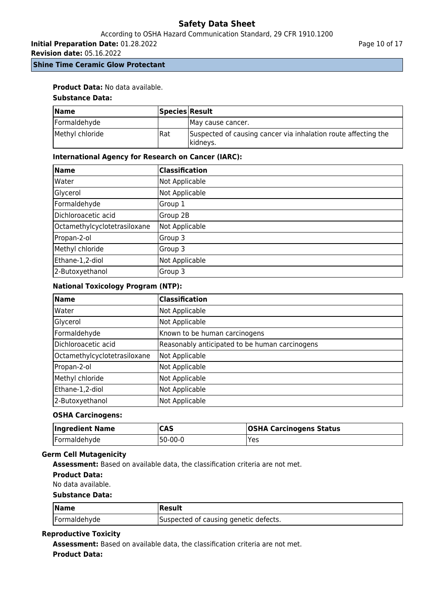# According to OSHA Hazard Communication Standard, 29 CFR 1910.1200

**Initial Preparation Date:** 01.28.2022

**Revision date:** 05.16.2022

**Shine Time Ceramic Glow Protectant**

## **Product Data:** No data available.

#### **Substance Data:**

| <b>Name</b>     | Species Result |                                                                             |
|-----------------|----------------|-----------------------------------------------------------------------------|
| Formaldehyde    |                | IMay cause cancer.                                                          |
| Methyl chloride | l Rat          | Suspected of causing cancer via inhalation route affecting the<br> kidneys. |

#### **International Agency for Research on Cancer (IARC):**

| Name                         | <b>Classification</b> |
|------------------------------|-----------------------|
| Water                        | Not Applicable        |
| Glycerol                     | Not Applicable        |
| Formaldehyde                 | Group 1               |
| Dichloroacetic acid          | Group 2B              |
| Octamethylcyclotetrasiloxane | Not Applicable        |
| Propan-2-ol                  | Group 3               |
| Methyl chloride              | Group 3               |
| Ethane-1,2-diol              | Not Applicable        |
| 2-Butoxyethanol              | Group 3               |

## **National Toxicology Program (NTP):**

| Name                         | <b>Classification</b>                          |
|------------------------------|------------------------------------------------|
| Water                        | Not Applicable                                 |
| Glycerol                     | Not Applicable                                 |
| Formaldehyde                 | Known to be human carcinogens                  |
| Dichloroacetic acid          | Reasonably anticipated to be human carcinogens |
| Octamethylcyclotetrasiloxane | Not Applicable                                 |
| Propan-2-ol                  | Not Applicable                                 |
| Methyl chloride              | Not Applicable                                 |
| Ethane-1,2-diol              | Not Applicable                                 |
| 2-Butoxyethanol              | Not Applicable                                 |

## **OSHA Carcinogens:**

| <b>Ingredient Name</b> | <b>CAS</b> | <b>OSHA Carcinogens Status</b> |
|------------------------|------------|--------------------------------|
| Formaldehyde           | 50-00-0!   | Yes                            |

#### **Germ Cell Mutagenicity**

**Assessment:** Based on available data, the classification criteria are not met.

No data available.

#### **Substance Data:**

| Name         | <b>Result</b>                         |
|--------------|---------------------------------------|
| Formaldehyde | Suspected of causing genetic defects. |

#### **Reproductive Toxicity**

**Assessment:** Based on available data, the classification criteria are not met.

#### **Product Data:**

**Product Data:**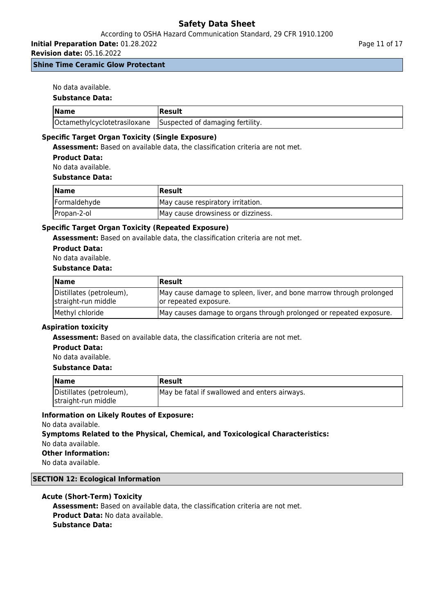## According to OSHA Hazard Communication Standard, 29 CFR 1910.1200

**Initial Preparation Date:** 01.28.2022

**Revision date:** 05.16.2022

**Shine Time Ceramic Glow Protectant**

No data available.

#### **Substance Data:**

| <b>Name</b> | Result                                                        |
|-------------|---------------------------------------------------------------|
|             | Octamethylcyclotetrasiloxane Suspected of damaging fertility. |

## **Specific Target Organ Toxicity (Single Exposure)**

**Assessment:** Based on available data, the classification criteria are not met.

**Product Data:**

No data available.

#### **Substance Data:**

| Name         | <b>IResult</b>                     |
|--------------|------------------------------------|
| Formaldehyde | May cause respiratory irritation.  |
| Propan-2-ol  | May cause drowsiness or dizziness. |

## **Specific Target Organ Toxicity (Repeated Exposure)**

**Assessment:** Based on available data, the classification criteria are not met.

## **Product Data:**

No data available.

#### **Substance Data:**

| <b>Name</b>                                     | Result                                                                                        |
|-------------------------------------------------|-----------------------------------------------------------------------------------------------|
| Distillates (petroleum),<br>straight-run middle | May cause damage to spleen, liver, and bone marrow through prolonged<br>or repeated exposure. |
| Methyl chloride                                 | May causes damage to organs through prolonged or repeated exposure.                           |

## **Aspiration toxicity**

**Assessment:** Based on available data, the classification criteria are not met.

#### **Product Data:**

#### No data available.

#### **Substance Data:**

| <b>Name</b>                                     | Result                                        |
|-------------------------------------------------|-----------------------------------------------|
| Distillates (petroleum),<br>straight-run middle | May be fatal if swallowed and enters airways. |

## **Information on Likely Routes of Exposure:**

No data available.

**Symptoms Related to the Physical, Chemical, and Toxicological Characteristics:** No data available.

**Other Information:**

No data available.

## **SECTION 12: Ecological Information**

#### **Acute (Short-Term) Toxicity**

**Assessment:** Based on available data, the classification criteria are not met. **Product Data:** No data available. **Substance Data:**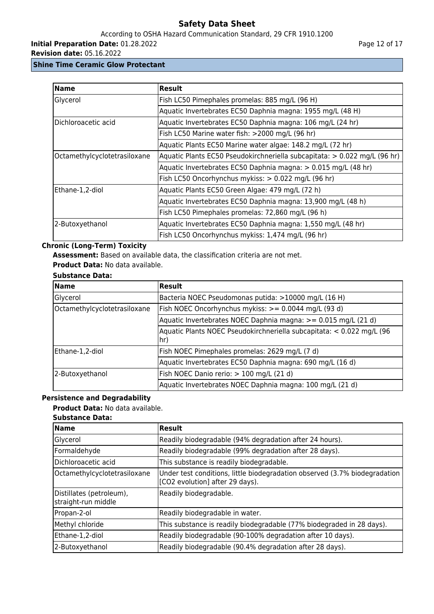# According to OSHA Hazard Communication Standard, 29 CFR 1910.1200

**Initial Preparation Date:** 01.28.2022

**Revision date:** 05.16.2022

## **Shine Time Ceramic Glow Protectant**

| <b>Name</b>                  | <b>Result</b>                                                             |
|------------------------------|---------------------------------------------------------------------------|
| Glycerol                     | Fish LC50 Pimephales promelas: 885 mg/L (96 H)                            |
|                              | Aquatic Invertebrates EC50 Daphnia magna: 1955 mg/L (48 H)                |
| Dichloroacetic acid          | Aquatic Invertebrates EC50 Daphnia magna: 106 mg/L (24 hr)                |
|                              | Fish LC50 Marine water fish: >2000 mg/L (96 hr)                           |
|                              | Aquatic Plants EC50 Marine water algae: 148.2 mg/L (72 hr)                |
| Octamethylcyclotetrasiloxane | Aquatic Plants EC50 Pseudokirchneriella subcapitata: > 0.022 mg/L (96 hr) |
|                              | Aquatic Invertebrates EC50 Daphnia magna: > 0.015 mg/L (48 hr)            |
|                              | Fish LC50 Oncorhynchus mykiss: > 0.022 mg/L (96 hr)                       |
| Ethane-1,2-diol              | Aquatic Plants EC50 Green Algae: 479 mg/L (72 h)                          |
|                              | Aquatic Invertebrates EC50 Daphnia magna: 13,900 mg/L (48 h)              |
|                              | Fish LC50 Pimephales promelas: 72,860 mg/L (96 h)                         |
| 2-Butoxyethanol              | Aquatic Invertebrates EC50 Daphnia magna: 1,550 mg/L (48 hr)              |
|                              | Fish LC50 Oncorhynchus mykiss: 1,474 mg/L (96 hr)                         |

# **Chronic (Long-Term) Toxicity**

**Assessment:** Based on available data, the classification criteria are not met.

**Product Data:** No data available.

# **Substance Data:**

| <b>Name</b>                  | <b>Result</b>                                                                        |
|------------------------------|--------------------------------------------------------------------------------------|
| Glycerol                     | Bacteria NOEC Pseudomonas putida: >10000 mg/L (16 H)                                 |
| Octamethylcyclotetrasiloxane | Fish NOEC Oncorhynchus mykiss: >= 0.0044 mg/L (93 d)                                 |
|                              | Aquatic Invertebrates NOEC Daphnia magna: >= 0.015 mg/L (21 d)                       |
|                              | Aquatic Plants NOEC Pseudokirchneriella subcapitata: < 0.022 mg/L (96<br>$\vert$ hr) |
| Ethane-1,2-diol              | Fish NOEC Pimephales promelas: 2629 mg/L (7 d)                                       |
|                              | Aquatic Invertebrates EC50 Daphnia magna: 690 mg/L (16 d)                            |
| 2-Butoxyethanol              | Fish NOEC Danio rerio: > 100 mg/L (21 d)                                             |
|                              | Aquatic Invertebrates NOEC Daphnia magna: 100 mg/L (21 d)                            |

# **Persistence and Degradability**

## **Product Data:** No data available.

| <b>Substance Data:</b>                          |                                                                                                               |  |
|-------------------------------------------------|---------------------------------------------------------------------------------------------------------------|--|
| <b>Name</b>                                     | Result                                                                                                        |  |
| Glycerol                                        | Readily biodegradable (94% degradation after 24 hours).                                                       |  |
| Formaldehyde                                    | Readily biodegradable (99% degradation after 28 days).                                                        |  |
| Dichloroacetic acid                             | This substance is readily biodegradable.                                                                      |  |
| Octamethylcyclotetrasiloxane                    | Under test conditions, little biodegradation observed (3.7% biodegradation<br>[CO2 evolution] after 29 days). |  |
| Distillates (petroleum),<br>straight-run middle | Readily biodegradable.                                                                                        |  |
| Propan-2-ol                                     | Readily biodegradable in water.                                                                               |  |
| Methyl chloride                                 | This substance is readily biodegradable (77% biodegraded in 28 days).                                         |  |
| Ethane-1,2-diol                                 | Readily biodegradable (90-100% degradation after 10 days).                                                    |  |
| 2-Butoxyethanol                                 | Readily biodegradable (90.4% degradation after 28 days).                                                      |  |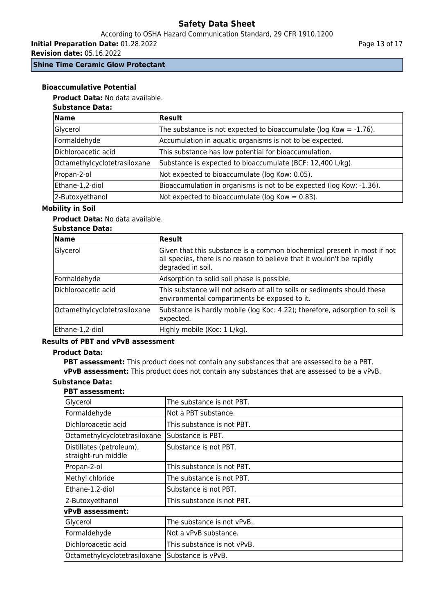# According to OSHA Hazard Communication Standard, 29 CFR 1910.1200

**Initial Preparation Date:** 01.28.2022

**Revision date:** 05.16.2022

**Shine Time Ceramic Glow Protectant**

#### **Bioaccumulative Potential**

**Product Data:** No data available.

# **Substance Data:**

| <b>Name</b>                  | Result                                                                |
|------------------------------|-----------------------------------------------------------------------|
| Glycerol                     | The substance is not expected to bioaccumulate ( $log Kow = -1.76$ ). |
| Formaldehyde                 | Accumulation in aquatic organisms is not to be expected.              |
| Dichloroacetic acid          | This substance has low potential for bioaccumulation.                 |
| Octamethylcyclotetrasiloxane | Substance is expected to bioaccumulate (BCF: 12,400 L/kg).            |
| Propan-2-ol                  | Not expected to bioaccumulate (log Kow: 0.05).                        |
| Ethane-1,2-diol              | Bioaccumulation in organisms is not to be expected (log Kow: -1.36).  |
| 2-Butoxyethanol              | Not expected to bioaccumulate ( $log Kow = 0.83$ ).                   |

## **Mobility in Soil**

## **Product Data:** No data available.

## **Substance Data:**

| <b>Name</b>                  | Result                                                                                                                                                                  |
|------------------------------|-------------------------------------------------------------------------------------------------------------------------------------------------------------------------|
| Glycerol                     | Given that this substance is a common biochemical present in most if not<br>all species, there is no reason to believe that it wouldn't be rapidly<br>degraded in soil. |
| Formaldehyde                 | Adsorption to solid soil phase is possible.                                                                                                                             |
| Dichloroacetic acid          | This substance will not adsorb at all to soils or sediments should these<br>environmental compartments be exposed to it.                                                |
| Octamethylcyclotetrasiloxane | Substance is hardly mobile (log Koc: 4.22); therefore, adsorption to soil is<br>expected.                                                                               |
| Ethane-1,2-diol              | Highly mobile (Koc: 1 L/kg).                                                                                                                                            |

## **Results of PBT and vPvB assessment**

#### **Product Data:**

**PBT assessment:** This product does not contain any substances that are assessed to be a PBT. **vPvB assessment:** This product does not contain any substances that are assessed to be a vPvB.

# **Substance Data:**

#### **PBT assessment:**

| Glycerol                                        | The substance is not PBT.   |
|-------------------------------------------------|-----------------------------|
| Formaldehyde                                    | Not a PBT substance.        |
| Dichloroacetic acid                             | This substance is not PBT.  |
| Octamethylcyclotetrasiloxane                    | Substance is PBT.           |
| Distillates (petroleum),<br>straight-run middle | Substance is not PBT.       |
| Propan-2-ol                                     | This substance is not PBT.  |
| Methyl chloride                                 | The substance is not PBT.   |
| Ethane-1,2-diol                                 | Substance is not PBT.       |
| 2-Butoxyethanol                                 | This substance is not PBT.  |
| <b>vPvB</b> assessment:                         |                             |
| Glycerol                                        | The substance is not vPvB.  |
| Formaldehyde                                    | Not a vPvB substance.       |
| Dichloroacetic acid                             | This substance is not vPvB. |
| Octamethylcyclotetrasiloxane                    | Substance is vPvB.          |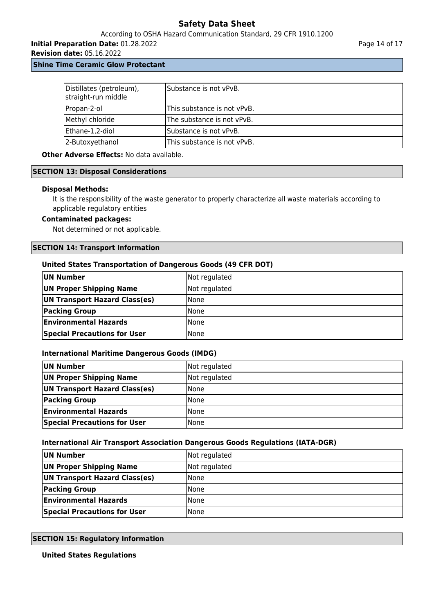## According to OSHA Hazard Communication Standard, 29 CFR 1910.1200

**Initial Preparation Date:** 01.28.2022

**Revision date:** 05.16.2022

**Shine Time Ceramic Glow Protectant**

| Distillates (petroleum),<br>straight-run middle | lSubstance is not vPvB.     |
|-------------------------------------------------|-----------------------------|
| Propan-2-ol                                     | This substance is not vPvB. |
| Methyl chloride                                 | The substance is not vPvB.  |
| Ethane-1,2-diol                                 | Substance is not vPvB.      |
| 2-Butoxyethanol                                 | This substance is not vPvB. |

**Other Adverse Effects:** No data available.

#### **SECTION 13: Disposal Considerations**

#### **Disposal Methods:**

It is the responsibility of the waste generator to properly characterize all waste materials according to applicable regulatory entities

#### **Contaminated packages:**

Not determined or not applicable.

#### **SECTION 14: Transport Information**

#### **United States Transportation of Dangerous Goods (49 CFR DOT)**

| UN Number                           | Not regulated |
|-------------------------------------|---------------|
| UN Proper Shipping Name             | Not regulated |
| UN Transport Hazard Class(es)       | l None        |
| <b>Packing Group</b>                | l None        |
| <b>Environmental Hazards</b>        | None          |
| <b>Special Precautions for User</b> | None          |

#### **International Maritime Dangerous Goods (IMDG)**

| UN Number                           | Not regulated |
|-------------------------------------|---------------|
| UN Proper Shipping Name             | Not regulated |
| UN Transport Hazard Class(es)       | <b>None</b>   |
| <b>Packing Group</b>                | <b>None</b>   |
| <b>Environmental Hazards</b>        | <b>None</b>   |
| <b>Special Precautions for User</b> | <b>None</b>   |

#### **International Air Transport Association Dangerous Goods Regulations (IATA-DGR)**

| UN Number                           | Not regulated |
|-------------------------------------|---------------|
| UN Proper Shipping Name             | Not regulated |
| UN Transport Hazard Class(es)       | None          |
| <b>Packing Group</b>                | None          |
| <b>Environmental Hazards</b>        | None          |
| <b>Special Precautions for User</b> | l None        |

## **SECTION 15: Regulatory Information**

**United States Regulations**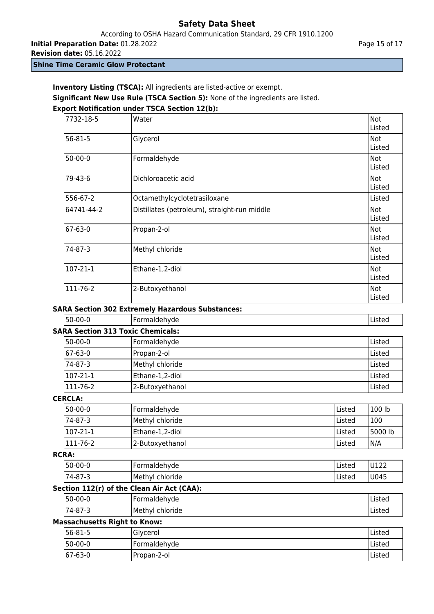According to OSHA Hazard Communication Standard, 29 CFR 1910.1200

**Initial Preparation Date:** 01.28.2022

**Revision date:** 05.16.2022

**Shine Time Ceramic Glow Protectant**

**Inventory Listing (TSCA):** All ingredients are listed-active or exempt. **Significant New Use Rule (TSCA Section 5):** None of the ingredients are listed. **Export Notification under TSCA Section 12(b):**

| 7732-18-5     | Water                                        | Not<br>Listed |
|---------------|----------------------------------------------|---------------|
| $56 - 81 - 5$ | Glycerol                                     | Not<br>Listed |
| $50-00-0$     | Formaldehyde                                 | Not<br>Listed |
| 79-43-6       | Dichloroacetic acid                          | Not<br>Listed |
| 556-67-2      | Octamethylcyclotetrasiloxane                 | Listed        |
| 64741-44-2    | Distillates (petroleum), straight-run middle | Not<br>Listed |
| 67-63-0       | Propan-2-ol                                  | Not<br>Listed |
| 74-87-3       | Methyl chloride                              | Not<br>Listed |
| 107-21-1      | Ethane-1,2-diol                              | Not<br>Listed |
| 111-76-2      | 2-Butoxyethanol                              | Not<br>Listed |

# **SARA Section 302 Extremely Hazardous Substances:**

50-00-0 Formaldehyde Listed

| <b>SARA Section 313 Toxic Chemicals:</b> |                 |        |  |  |
|------------------------------------------|-----------------|--------|--|--|
| 50-00-0                                  | Formaldehyde    | Listed |  |  |
| 67-63-0                                  | Propan-2-ol     | Listed |  |  |
| 74-87-3                                  | Methyl chloride | Listed |  |  |
| $107 - 21 - 1$                           | Ethane-1,2-diol | Listed |  |  |
| 111-76-2                                 | 2-Butoxyethanol | Listed |  |  |

# **CERCLA:**

| $ 50-00-0 $      | Formaldehyde    | <b>Listed</b>  | $'100$ lb |
|------------------|-----------------|----------------|-----------|
| 174-87-3         | Methyl chloride | <b>IListed</b> | 100       |
| $ 107-21-1 $     | Ethane-1,2-diol | <b>Listed</b>  | 5000 lb   |
| $ 111 - 76 - 2 $ | 2-Butoxyethanol | <b>Listed</b>  | IN/A      |

#### **RCRA:**

| $ 50-00-0 $ | -ormaldehyde       | IListed | U122 |
|-------------|--------------------|---------|------|
| $ 74-87-3$  | Methyl<br>chloride | IListed | U045 |

# **Section 112(r) of the Clean Air Act (CAA):**

|     | 50-00-0                   | -<br>[Formaldehyde       | $- + -$<br>Listeu     |
|-----|---------------------------|--------------------------|-----------------------|
|     | ່ <sup>-</sup> 74-87-ຼ    | Methyl ·<br>chloride     | $-+$<br><b>LISLEL</b> |
| - - | $\sim$ $\sim$<br>.<br>. . | $\overline{\phantom{a}}$ |                       |

# **Massachusetts Right to Know:**

| $ 56-81-5$ | <b>Glycerol</b> | lListed       |
|------------|-----------------|---------------|
| $ 50-00-0$ | Formaldehyde    | <b>Listed</b> |
| $ 67-63-0$ | IPropan-2-ol    | <b>Listed</b> |

 $\overline{\phantom{a}}$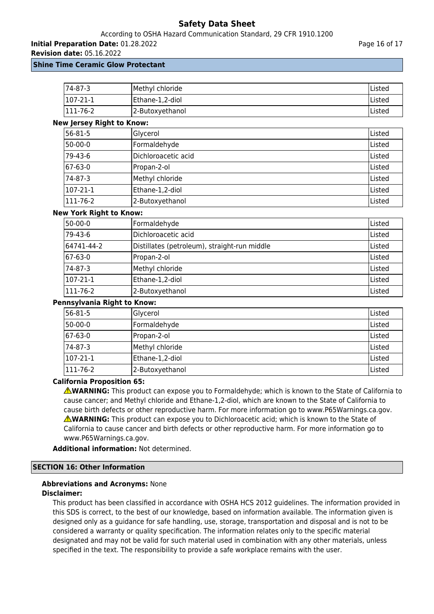#### According to OSHA Hazard Communication Standard, 29 CFR 1910.1200

**Initial Preparation Date:** 01.28.2022

**Revision date:** 05.16.2022

#### **Shine Time Ceramic Glow Protectant**

| 174-87-3        | Methyl chloride | lListed |
|-----------------|-----------------|---------|
| $107 - 21 - 1$  | Ethane-1,2-diol | lListed |
| $ 111 - 76 - 2$ | 2-Butoxyethanol | lListed |

# **New Jersey Right to Know:**

| 56-81-5          | Glycerol            | Listed |
|------------------|---------------------|--------|
| 50-00-0          | Formaldehyde        | Listed |
| 79-43-6          | Dichloroacetic acid | Listed |
| $ 67-63-0$       | Propan-2-ol         | Listed |
| 74-87-3          | Methyl chloride     | Listed |
| 107-21-1         | Ethane-1,2-diol     | Listed |
| $ 111 - 76 - 2 $ | 2-Butoxyethanol     | Listed |

## **New York Right to Know:**

| 50-00-0          | Formaldehyde                                 | Listed |  |  |
|------------------|----------------------------------------------|--------|--|--|
| 79-43-6          | Dichloroacetic acid                          | Listed |  |  |
| 64741-44-2       | Distillates (petroleum), straight-run middle | Listed |  |  |
| 67-63-0          | Propan-2-ol                                  | Listed |  |  |
| 74-87-3          | Methyl chloride                              | Listed |  |  |
| $107 - 21 - 1$   | Ethane-1,2-diol                              | Listed |  |  |
| $ 111 - 76 - 2 $ | 2-Butoxyethanol                              | Listed |  |  |

#### **Pennsylvania Right to Know:**

| 56-81-5        | Glycerol        | Listed  |
|----------------|-----------------|---------|
| 50-00-0        | Formaldehyde    | Listed  |
| 67-63-0        | Propan-2-ol     | Listed  |
| 74-87-3        | Methyl chloride | Listed  |
| 107-21-1       | Ethane-1,2-diol | Listed  |
| $111 - 76 - 2$ | 2-Butoxyethanol | lListed |

## **California Proposition 65:**

**AWARNING:** This product can expose you to Formaldehyde; which is known to the State of California to cause cancer; and Methyl chloride and Ethane-1,2-diol, which are known to the State of California to cause birth defects or other reproductive harm. For more information go to www.P65Warnings.ca.gov. **WARNING:** This product can expose you to Dichloroacetic acid; which is known to the State of California to cause cancer and birth defects or other reproductive harm. For more information go to www.P65Warnings.ca.gov.

**Additional information:** Not determined.

## **SECTION 16: Other Information**

## **Abbreviations and Acronyms:** None **Disclaimer:**

This product has been classified in accordance with OSHA HCS 2012 guidelines. The information provided in this SDS is correct, to the best of our knowledge, based on information available. The information given is designed only as a guidance for safe handling, use, storage, transportation and disposal and is not to be considered a warranty or quality specification. The information relates only to the specific material designated and may not be valid for such material used in combination with any other materials, unless specified in the text. The responsibility to provide a safe workplace remains with the user.